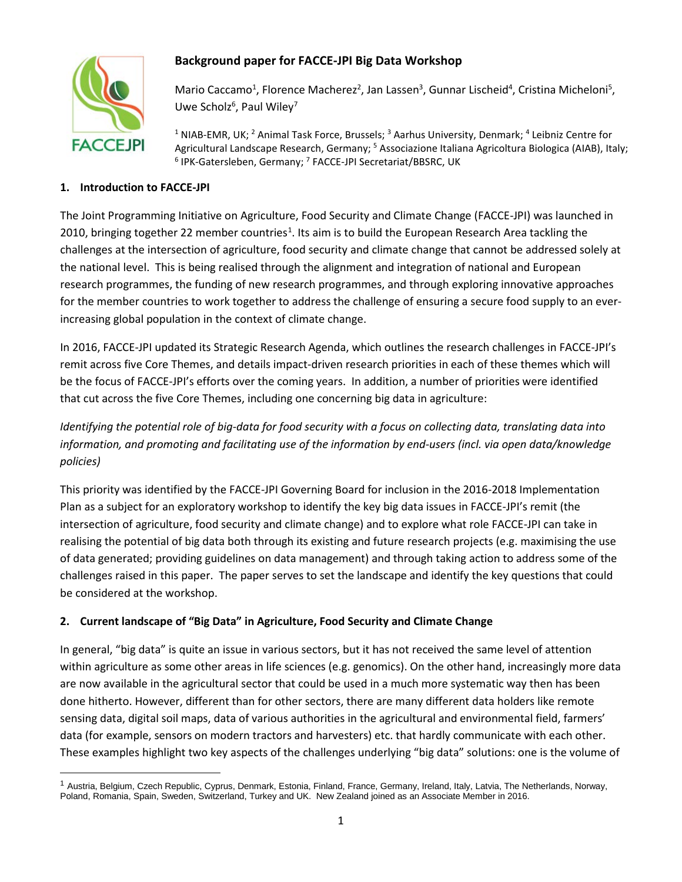

# **Background paper for FACCE-JPI Big Data Workshop**

Mario Caccamo<sup>1</sup>, Florence Macherez<sup>2</sup>, Jan Lassen<sup>3</sup>, Gunnar Lischeid<sup>4</sup>, Cristina Micheloni<sup>5</sup>, Uwe Scholz<sup>6</sup>, Paul Wiley<sup>7</sup>

<sup>1</sup> NIAB-EMR, UK; <sup>2</sup> Animal Task Force, Brussels; <sup>3</sup> Aarhus University, Denmark; <sup>4</sup> Leibniz Centre for Agricultural Landscape Research, Germany; <sup>5</sup> Associazione Italiana Agricoltura Biologica (AIAB), Italy;<br><sup>6</sup> IPK-Gatersleben, Germany; <sup>7</sup> FACCE-JPI Secretariat/BBSRC, UK

#### **1. Introduction to FACCE-JPI**

The Joint Programming Initiative on Agriculture, Food Security and Climate Change (FACCE-JPI) was launched in 20[1](#page-0-0)0, bringing together 22 member countries<sup>1</sup>. Its aim is to build the European Research Area tackling the challenges at the intersection of agriculture, food security and climate change that cannot be addressed solely at the national level. This is being realised through the alignment and integration of national and European research programmes, the funding of new research programmes, and through exploring innovative approaches for the member countries to work together to address the challenge of ensuring a secure food supply to an everincreasing global population in the context of climate change.

In 2016, FACCE-JPI updated its Strategic Research Agenda, which outlines the research challenges in FACCE-JPI's remit across five Core Themes, and details impact-driven research priorities in each of these themes which will be the focus of FACCE-JPI's efforts over the coming years. In addition, a number of priorities were identified that cut across the five Core Themes, including one concerning big data in agriculture:

*Identifying the potential role of big-data for food security with a focus on collecting data, translating data into information, and promoting and facilitating use of the information by end-users (incl. via open data/knowledge policies)* 

This priority was identified by the FACCE-JPI Governing Board for inclusion in the 2016-2018 Implementation Plan as a subject for an exploratory workshop to identify the key big data issues in FACCE-JPI's remit (the intersection of agriculture, food security and climate change) and to explore what role FACCE-JPI can take in realising the potential of big data both through its existing and future research projects (e.g. maximising the use of data generated; providing guidelines on data management) and through taking action to address some of the challenges raised in this paper. The paper serves to set the landscape and identify the key questions that could be considered at the workshop.

# **2. Current landscape of "Big Data" in Agriculture, Food Security and Climate Change**

In general, "big data" is quite an issue in various sectors, but it has not received the same level of attention within agriculture as some other areas in life sciences (e.g. genomics). On the other hand, increasingly more data are now available in the agricultural sector that could be used in a much more systematic way then has been done hitherto. However, different than for other sectors, there are many different data holders like remote sensing data, digital soil maps, data of various authorities in the agricultural and environmental field, farmers' data (for example, sensors on modern tractors and harvesters) etc. that hardly communicate with each other. These examples highlight two key aspects of the challenges underlying "big data" solutions: one is the volume of

<span id="page-0-0"></span> <sup>1</sup> Austria, Belgium, Czech Republic, Cyprus, Denmark, Estonia, Finland, France, Germany, Ireland, Italy, Latvia, The Netherlands, Norway, Poland, Romania, Spain, Sweden, Switzerland, Turkey and UK. New Zealand joined as an Associate Member in 2016.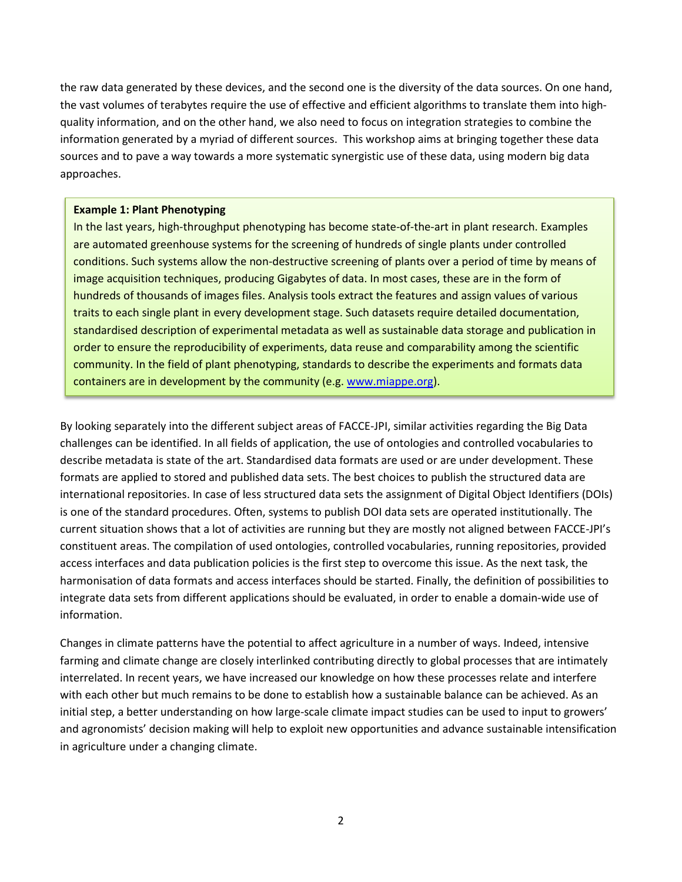the raw data generated by these devices, and the second one is the diversity of the data sources. On one hand, the vast volumes of terabytes require the use of effective and efficient algorithms to translate them into highquality information, and on the other hand, we also need to focus on integration strategies to combine the information generated by a myriad of different sources. This workshop aims at bringing together these data sources and to pave a way towards a more systematic synergistic use of these data, using modern big data approaches.

#### **Example 1: Plant Phenotyping**

In the last years, high-throughput phenotyping has become state-of-the-art in plant research. Examples are automated greenhouse systems for the screening of hundreds of single plants under controlled conditions. Such systems allow the non-destructive screening of plants over a period of time by means of image acquisition techniques, producing Gigabytes of data. In most cases, these are in the form of hundreds of thousands of images files. Analysis tools extract the features and assign values of various traits to each single plant in every development stage. Such datasets require detailed documentation, standardised description of experimental metadata as well as sustainable data storage and publication in order to ensure the reproducibility of experiments, data reuse and comparability among the scientific community. In the field of plant phenotyping, standards to describe the experiments and formats data containers are in development by the community (e.g. [www.miappe.org\)](http://www.miappe.org/).

By looking separately into the different subject areas of FACCE-JPI, similar activities regarding the Big Data challenges can be identified. In all fields of application, the use of ontologies and controlled vocabularies to describe metadata is state of the art. Standardised data formats are used or are under development. These formats are applied to stored and published data sets. The best choices to publish the structured data are international repositories. In case of less structured data sets the assignment of Digital Object Identifiers (DOIs) is one of the standard procedures. Often, systems to publish DOI data sets are operated institutionally. The current situation shows that a lot of activities are running but they are mostly not aligned between FACCE-JPI's constituent areas. The compilation of used ontologies, controlled vocabularies, running repositories, provided access interfaces and data publication policies is the first step to overcome this issue. As the next task, the harmonisation of data formats and access interfaces should be started. Finally, the definition of possibilities to integrate data sets from different applications should be evaluated, in order to enable a domain-wide use of information.

Changes in climate patterns have the potential to affect agriculture in a number of ways. Indeed, intensive farming and climate change are closely interlinked contributing directly to global processes that are intimately interrelated. In recent years, we have increased our knowledge on how these processes relate and interfere with each other but much remains to be done to establish how a sustainable balance can be achieved. As an initial step, a better understanding on how large-scale climate impact studies can be used to input to growers' and agronomists' decision making will help to exploit new opportunities and advance sustainable intensification in agriculture under a changing climate.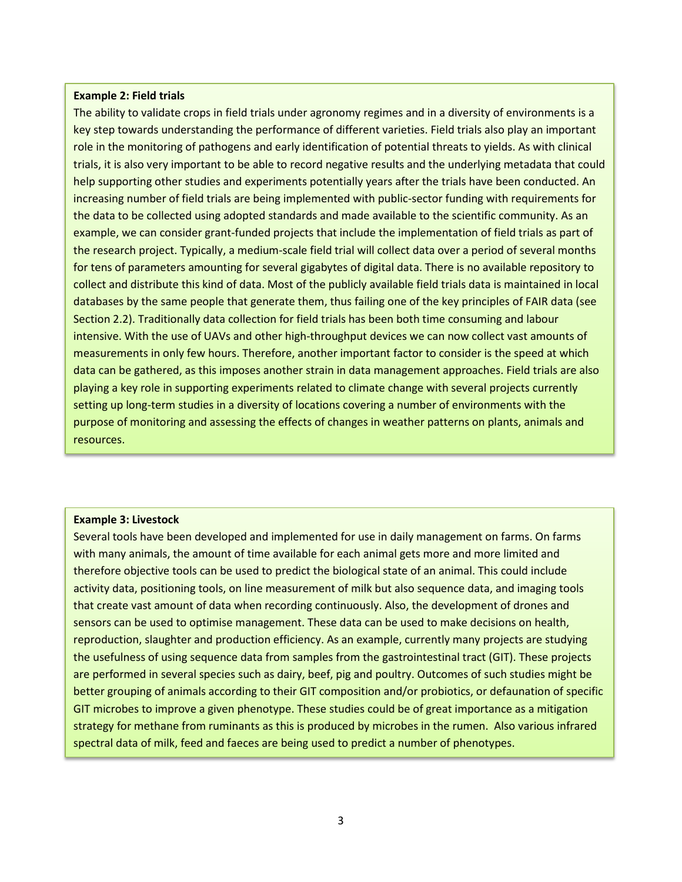#### **Example 2: Field trials**

The ability to validate crops in field trials under agronomy regimes and in a diversity of environments is a key step towards understanding the performance of different varieties. Field trials also play an important role in the monitoring of pathogens and early identification of potential threats to yields. As with clinical trials, it is also very important to be able to record negative results and the underlying metadata that could help supporting other studies and experiments potentially years after the trials have been conducted. An increasing number of field trials are being implemented with public-sector funding with requirements for the data to be collected using adopted standards and made available to the scientific community. As an example, we can consider grant-funded projects that include the implementation of field trials as part of the research project. Typically, a medium-scale field trial will collect data over a period of several months for tens of parameters amounting for several gigabytes of digital data. There is no available repository to collect and distribute this kind of data. Most of the publicly available field trials data is maintained in local databases by the same people that generate them, thus failing one of the key principles of FAIR data (see Section 2.2). Traditionally data collection for field trials has been both time consuming and labour intensive. With the use of UAVs and other high-throughput devices we can now collect vast amounts of measurements in only few hours. Therefore, another important factor to consider is the speed at which data can be gathered, as this imposes another strain in data management approaches. Field trials are also playing a key role in supporting experiments related to climate change with several projects currently setting up long-term studies in a diversity of locations covering a number of environments with the purpose of monitoring and assessing the effects of changes in weather patterns on plants, animals and resources.

#### **Example 3: Livestock**

Several tools have been developed and implemented for use in daily management on farms. On farms with many animals, the amount of time available for each animal gets more and more limited and therefore objective tools can be used to predict the biological state of an animal. This could include activity data, positioning tools, on line measurement of milk but also sequence data, and imaging tools that create vast amount of data when recording continuously. Also, the development of drones and sensors can be used to optimise management. These data can be used to make decisions on health, reproduction, slaughter and production efficiency. As an example, currently many projects are studying the usefulness of using sequence data from samples from the gastrointestinal tract (GIT). These projects are performed in several species such as dairy, beef, pig and poultry. Outcomes of such studies might be better grouping of animals according to their GIT composition and/or probiotics, or defaunation of specific GIT microbes to improve a given phenotype. These studies could be of great importance as a mitigation strategy for methane from ruminants as this is produced by microbes in the rumen. Also various infrared spectral data of milk, feed and faeces are being used to predict a number of phenotypes.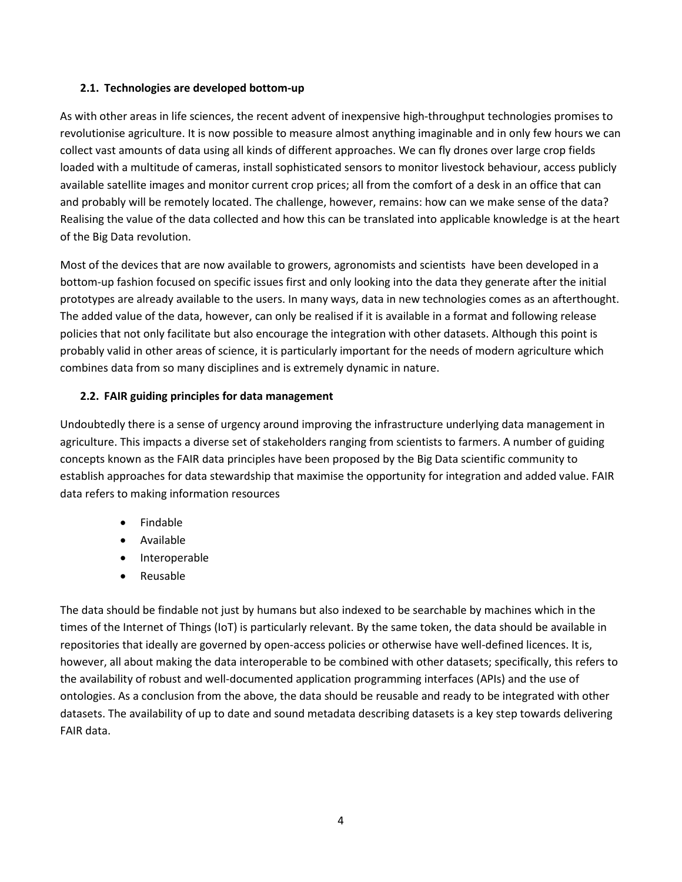### **2.1. Technologies are developed bottom-up**

As with other areas in life sciences, the recent advent of inexpensive high-throughput technologies promises to revolutionise agriculture. It is now possible to measure almost anything imaginable and in only few hours we can collect vast amounts of data using all kinds of different approaches. We can fly drones over large crop fields loaded with a multitude of cameras, install sophisticated sensors to monitor livestock behaviour, access publicly available satellite images and monitor current crop prices; all from the comfort of a desk in an office that can and probably will be remotely located. The challenge, however, remains: how can we make sense of the data? Realising the value of the data collected and how this can be translated into applicable knowledge is at the heart of the Big Data revolution.

Most of the devices that are now available to growers, agronomists and scientists have been developed in a bottom-up fashion focused on specific issues first and only looking into the data they generate after the initial prototypes are already available to the users. In many ways, data in new technologies comes as an afterthought. The added value of the data, however, can only be realised if it is available in a format and following release policies that not only facilitate but also encourage the integration with other datasets. Although this point is probably valid in other areas of science, it is particularly important for the needs of modern agriculture which combines data from so many disciplines and is extremely dynamic in nature.

## **2.2. FAIR guiding principles for data management**

Undoubtedly there is a sense of urgency around improving the infrastructure underlying data management in agriculture. This impacts a diverse set of stakeholders ranging from scientists to farmers. A number of guiding concepts known as the FAIR data principles have been proposed by the Big Data scientific community to establish approaches for data stewardship that maximise the opportunity for integration and added value. FAIR data refers to making information resources

- Findable
- Available
- Interoperable
- Reusable

The data should be findable not just by humans but also indexed to be searchable by machines which in the times of the Internet of Things (IoT) is particularly relevant. By the same token, the data should be available in repositories that ideally are governed by open-access policies or otherwise have well-defined licences. It is, however, all about making the data interoperable to be combined with other datasets; specifically, this refers to the availability of robust and well-documented application programming interfaces (APIs) and the use of ontologies. As a conclusion from the above, the data should be reusable and ready to be integrated with other datasets. The availability of up to date and sound metadata describing datasets is a key step towards delivering FAIR data.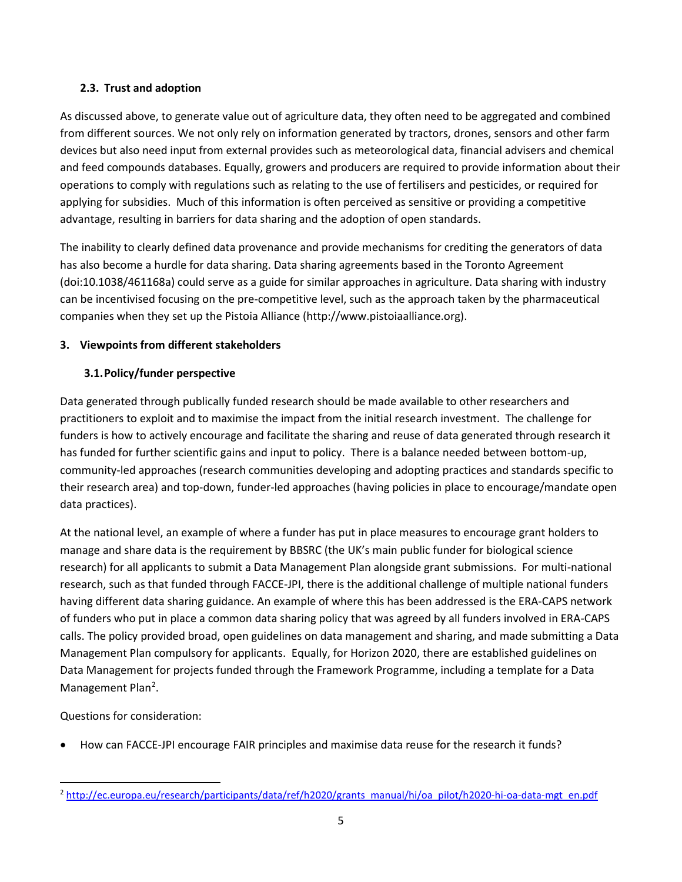## **2.3. Trust and adoption**

As discussed above, to generate value out of agriculture data, they often need to be aggregated and combined from different sources. We not only rely on information generated by tractors, drones, sensors and other farm devices but also need input from external provides such as meteorological data, financial advisers and chemical and feed compounds databases. Equally, growers and producers are required to provide information about their operations to comply with regulations such as relating to the use of fertilisers and pesticides, or required for applying for subsidies. Much of this information is often perceived as sensitive or providing a competitive advantage, resulting in barriers for data sharing and the adoption of open standards.

The inability to clearly defined data provenance and provide mechanisms for crediting the generators of data has also become a hurdle for data sharing. Data sharing agreements based in the Toronto Agreement (doi:10.1038/461168a) could serve as a guide for similar approaches in agriculture. Data sharing with industry can be incentivised focusing on the pre-competitive level, such as the approach taken by the pharmaceutical companies when they set up the Pistoia Alliance (http://www.pistoiaalliance.org).

## **3. Viewpoints from different stakeholders**

# **3.1.Policy/funder perspective**

Data generated through publically funded research should be made available to other researchers and practitioners to exploit and to maximise the impact from the initial research investment. The challenge for funders is how to actively encourage and facilitate the sharing and reuse of data generated through research it has funded for further scientific gains and input to policy. There is a balance needed between bottom-up, community-led approaches (research communities developing and adopting practices and standards specific to their research area) and top-down, funder-led approaches (having policies in place to encourage/mandate open data practices).

At the national level, an example of where a funder has put in place measures to encourage grant holders to manage and share data is the requirement by BBSRC (the UK's main public funder for biological science research) for all applicants to submit a Data Management Plan alongside grant submissions. For multi-national research, such as that funded through FACCE-JPI, there is the additional challenge of multiple national funders having different data sharing guidance. An example of where this has been addressed is the ERA-CAPS network of funders who put in place a common data sharing policy that was agreed by all funders involved in ERA-CAPS calls. The policy provided broad, open guidelines on data management and sharing, and made submitting a Data Management Plan compulsory for applicants. Equally, for Horizon 2020, there are established guidelines on Data Management for projects funded through the Framework Programme, including a template for a Data Management Plan<sup>[2](#page-4-0)</sup>.

Questions for consideration:

• How can FACCE-JPI encourage FAIR principles and maximise data reuse for the research it funds?

<span id="page-4-0"></span> $\overline{a}$ <sup>2</sup> [http://ec.europa.eu/research/participants/data/ref/h2020/grants\\_manual/hi/oa\\_pilot/h2020-hi-oa-data-mgt\\_en.pdf](http://ec.europa.eu/research/participants/data/ref/h2020/grants_manual/hi/oa_pilot/h2020-hi-oa-data-mgt_en.pdf)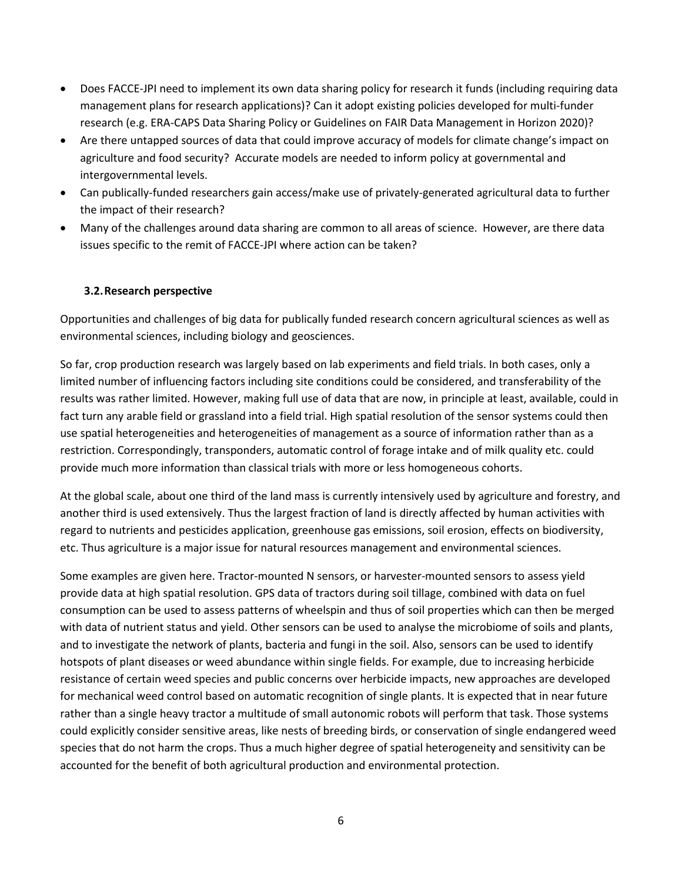- Does FACCE-JPI need to implement its own data sharing policy for research it funds (including requiring data management plans for research applications)? Can it adopt existing policies developed for multi-funder research (e.g. ERA-CAPS Data Sharing Policy or Guidelines on FAIR Data Management in Horizon 2020)?
- Are there untapped sources of data that could improve accuracy of models for climate change's impact on agriculture and food security? Accurate models are needed to inform policy at governmental and intergovernmental levels.
- Can publically-funded researchers gain access/make use of privately-generated agricultural data to further the impact of their research?
- Many of the challenges around data sharing are common to all areas of science. However, are there data issues specific to the remit of FACCE-JPI where action can be taken?

### **3.2.Research perspective**

Opportunities and challenges of big data for publically funded research concern agricultural sciences as well as environmental sciences, including biology and geosciences.

So far, crop production research was largely based on lab experiments and field trials. In both cases, only a limited number of influencing factors including site conditions could be considered, and transferability of the results was rather limited. However, making full use of data that are now, in principle at least, available, could in fact turn any arable field or grassland into a field trial. High spatial resolution of the sensor systems could then use spatial heterogeneities and heterogeneities of management as a source of information rather than as a restriction. Correspondingly, transponders, automatic control of forage intake and of milk quality etc. could provide much more information than classical trials with more or less homogeneous cohorts.

At the global scale, about one third of the land mass is currently intensively used by agriculture and forestry, and another third is used extensively. Thus the largest fraction of land is directly affected by human activities with regard to nutrients and pesticides application, greenhouse gas emissions, soil erosion, effects on biodiversity, etc. Thus agriculture is a major issue for natural resources management and environmental sciences.

Some examples are given here. Tractor-mounted N sensors, or harvester-mounted sensors to assess yield provide data at high spatial resolution. GPS data of tractors during soil tillage, combined with data on fuel consumption can be used to assess patterns of wheelspin and thus of soil properties which can then be merged with data of nutrient status and yield. Other sensors can be used to analyse the microbiome of soils and plants, and to investigate the network of plants, bacteria and fungi in the soil. Also, sensors can be used to identify hotspots of plant diseases or weed abundance within single fields. For example, due to increasing herbicide resistance of certain weed species and public concerns over herbicide impacts, new approaches are developed for mechanical weed control based on automatic recognition of single plants. It is expected that in near future rather than a single heavy tractor a multitude of small autonomic robots will perform that task. Those systems could explicitly consider sensitive areas, like nests of breeding birds, or conservation of single endangered weed species that do not harm the crops. Thus a much higher degree of spatial heterogeneity and sensitivity can be accounted for the benefit of both agricultural production and environmental protection.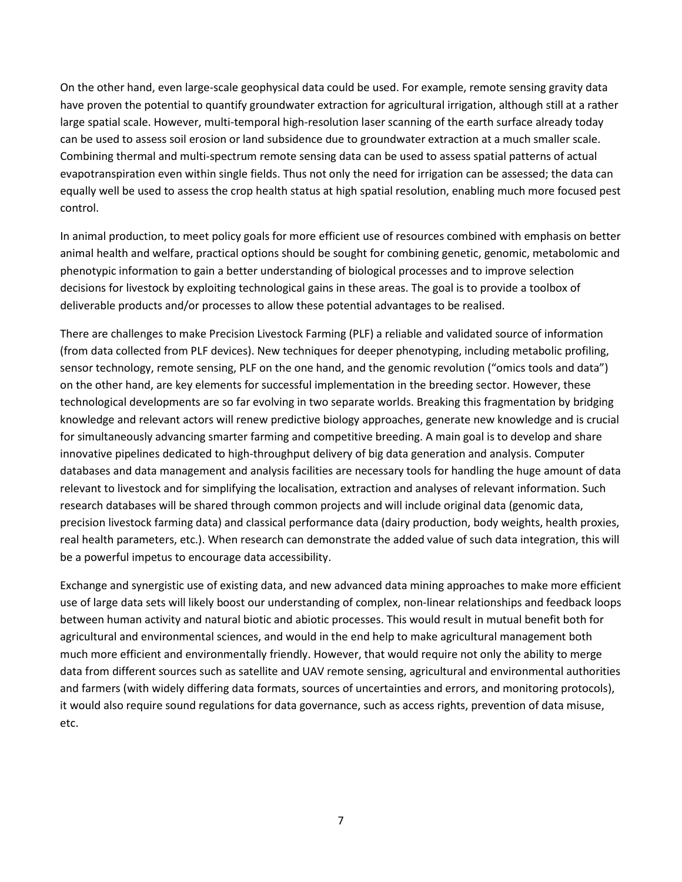On the other hand, even large-scale geophysical data could be used. For example, remote sensing gravity data have proven the potential to quantify groundwater extraction for agricultural irrigation, although still at a rather large spatial scale. However, multi-temporal high-resolution laser scanning of the earth surface already today can be used to assess soil erosion or land subsidence due to groundwater extraction at a much smaller scale. Combining thermal and multi-spectrum remote sensing data can be used to assess spatial patterns of actual evapotranspiration even within single fields. Thus not only the need for irrigation can be assessed; the data can equally well be used to assess the crop health status at high spatial resolution, enabling much more focused pest control.

In animal production, to meet policy goals for more efficient use of resources combined with emphasis on better animal health and welfare, practical options should be sought for combining genetic, genomic, metabolomic and phenotypic information to gain a better understanding of biological processes and to improve selection decisions for livestock by exploiting technological gains in these areas. The goal is to provide a toolbox of deliverable products and/or processes to allow these potential advantages to be realised.

There are challenges to make Precision Livestock Farming (PLF) a reliable and validated source of information (from data collected from PLF devices). New techniques for deeper phenotyping, including metabolic profiling, sensor technology, remote sensing, PLF on the one hand, and the genomic revolution ("omics tools and data") on the other hand, are key elements for successful implementation in the breeding sector. However, these technological developments are so far evolving in two separate worlds. Breaking this fragmentation by bridging knowledge and relevant actors will renew predictive biology approaches, generate new knowledge and is crucial for simultaneously advancing smarter farming and competitive breeding. A main goal is to develop and share innovative pipelines dedicated to high-throughput delivery of big data generation and analysis. Computer databases and data management and analysis facilities are necessary tools for handling the huge amount of data relevant to livestock and for simplifying the localisation, extraction and analyses of relevant information. Such research databases will be shared through common projects and will include original data (genomic data, precision livestock farming data) and classical performance data (dairy production, body weights, health proxies, real health parameters, etc.). When research can demonstrate the added value of such data integration, this will be a powerful impetus to encourage data accessibility.

Exchange and synergistic use of existing data, and new advanced data mining approaches to make more efficient use of large data sets will likely boost our understanding of complex, non-linear relationships and feedback loops between human activity and natural biotic and abiotic processes. This would result in mutual benefit both for agricultural and environmental sciences, and would in the end help to make agricultural management both much more efficient and environmentally friendly. However, that would require not only the ability to merge data from different sources such as satellite and UAV remote sensing, agricultural and environmental authorities and farmers (with widely differing data formats, sources of uncertainties and errors, and monitoring protocols), it would also require sound regulations for data governance, such as access rights, prevention of data misuse, etc.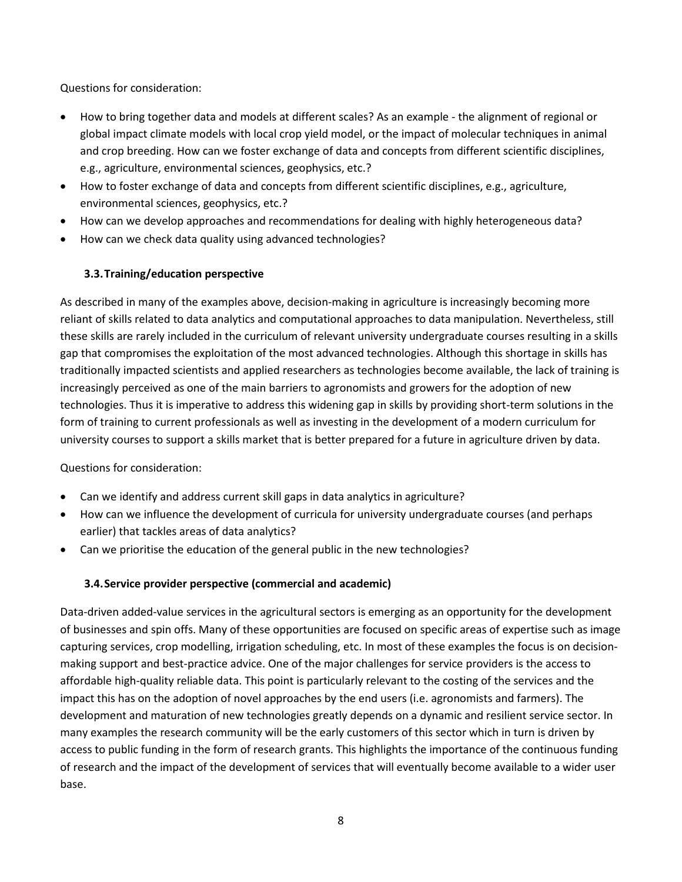Questions for consideration:

- How to bring together data and models at different scales? As an example the alignment of regional or global impact climate models with local crop yield model, or the impact of molecular techniques in animal and crop breeding. How can we foster exchange of data and concepts from different scientific disciplines, e.g., agriculture, environmental sciences, geophysics, etc.?
- How to foster exchange of data and concepts from different scientific disciplines, e.g., agriculture, environmental sciences, geophysics, etc.?
- How can we develop approaches and recommendations for dealing with highly heterogeneous data?
- How can we check data quality using advanced technologies?

## **3.3.Training/education perspective**

As described in many of the examples above, decision-making in agriculture is increasingly becoming more reliant of skills related to data analytics and computational approaches to data manipulation. Nevertheless, still these skills are rarely included in the curriculum of relevant university undergraduate courses resulting in a skills gap that compromises the exploitation of the most advanced technologies. Although this shortage in skills has traditionally impacted scientists and applied researchers as technologies become available, the lack of training is increasingly perceived as one of the main barriers to agronomists and growers for the adoption of new technologies. Thus it is imperative to address this widening gap in skills by providing short-term solutions in the form of training to current professionals as well as investing in the development of a modern curriculum for university courses to support a skills market that is better prepared for a future in agriculture driven by data.

Questions for consideration:

- Can we identify and address current skill gaps in data analytics in agriculture?
- How can we influence the development of curricula for university undergraduate courses (and perhaps earlier) that tackles areas of data analytics?
- Can we prioritise the education of the general public in the new technologies?

## **3.4.Service provider perspective (commercial and academic)**

Data-driven added-value services in the agricultural sectors is emerging as an opportunity for the development of businesses and spin offs. Many of these opportunities are focused on specific areas of expertise such as image capturing services, crop modelling, irrigation scheduling, etc. In most of these examples the focus is on decisionmaking support and best-practice advice. One of the major challenges for service providers is the access to affordable high-quality reliable data. This point is particularly relevant to the costing of the services and the impact this has on the adoption of novel approaches by the end users (i.e. agronomists and farmers). The development and maturation of new technologies greatly depends on a dynamic and resilient service sector. In many examples the research community will be the early customers of this sector which in turn is driven by access to public funding in the form of research grants. This highlights the importance of the continuous funding of research and the impact of the development of services that will eventually become available to a wider user base.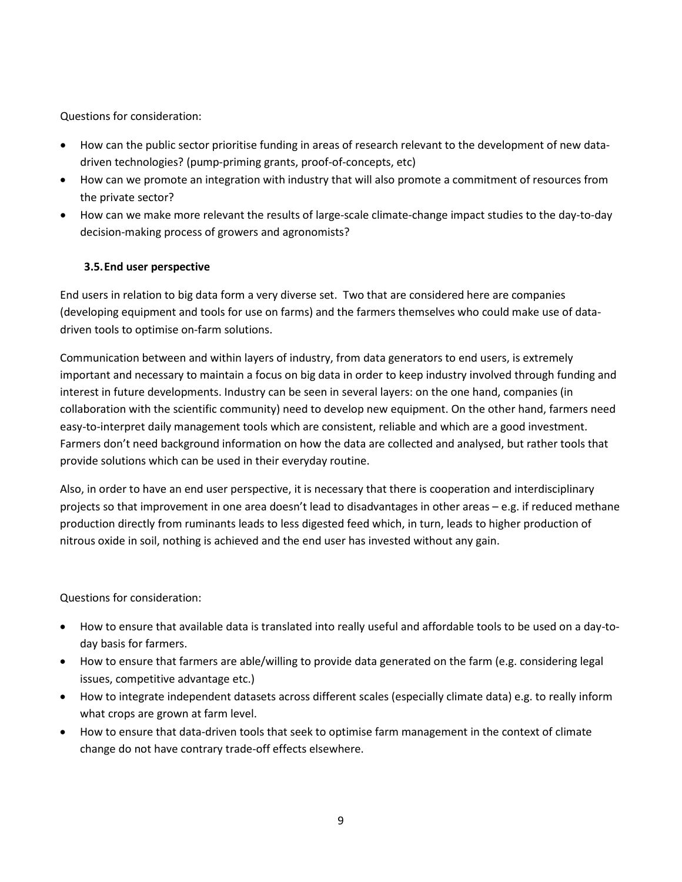Questions for consideration:

- How can the public sector prioritise funding in areas of research relevant to the development of new datadriven technologies? (pump-priming grants, proof-of-concepts, etc)
- How can we promote an integration with industry that will also promote a commitment of resources from the private sector?
- How can we make more relevant the results of large-scale climate-change impact studies to the day-to-day decision-making process of growers and agronomists?

## **3.5.End user perspective**

End users in relation to big data form a very diverse set. Two that are considered here are companies (developing equipment and tools for use on farms) and the farmers themselves who could make use of datadriven tools to optimise on-farm solutions.

Communication between and within layers of industry, from data generators to end users, is extremely important and necessary to maintain a focus on big data in order to keep industry involved through funding and interest in future developments. Industry can be seen in several layers: on the one hand, companies (in collaboration with the scientific community) need to develop new equipment. On the other hand, farmers need easy-to-interpret daily management tools which are consistent, reliable and which are a good investment. Farmers don't need background information on how the data are collected and analysed, but rather tools that provide solutions which can be used in their everyday routine.

Also, in order to have an end user perspective, it is necessary that there is cooperation and interdisciplinary projects so that improvement in one area doesn't lead to disadvantages in other areas – e.g. if reduced methane production directly from ruminants leads to less digested feed which, in turn, leads to higher production of nitrous oxide in soil, nothing is achieved and the end user has invested without any gain.

Questions for consideration:

- How to ensure that available data is translated into really useful and affordable tools to be used on a day-today basis for farmers.
- How to ensure that farmers are able/willing to provide data generated on the farm (e.g. considering legal issues, competitive advantage etc.)
- How to integrate independent datasets across different scales (especially climate data) e.g. to really inform what crops are grown at farm level.
- How to ensure that data-driven tools that seek to optimise farm management in the context of climate change do not have contrary trade-off effects elsewhere.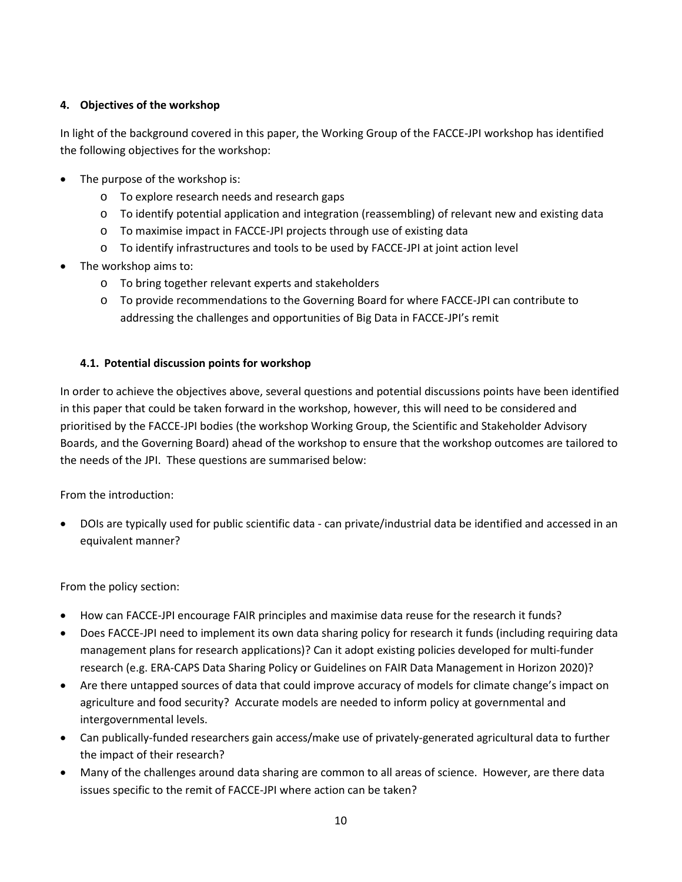## **4. Objectives of the workshop**

In light of the background covered in this paper, the Working Group of the FACCE-JPI workshop has identified the following objectives for the workshop:

- The purpose of the workshop is:
	- o To explore research needs and research gaps
	- o To identify potential application and integration (reassembling) of relevant new and existing data
	- o To maximise impact in FACCE-JPI projects through use of existing data
	- o To identify infrastructures and tools to be used by FACCE-JPI at joint action level
- The workshop aims to:
	- o To bring together relevant experts and stakeholders
	- o To provide recommendations to the Governing Board for where FACCE-JPI can contribute to addressing the challenges and opportunities of Big Data in FACCE-JPI's remit

### **4.1. Potential discussion points for workshop**

In order to achieve the objectives above, several questions and potential discussions points have been identified in this paper that could be taken forward in the workshop, however, this will need to be considered and prioritised by the FACCE-JPI bodies (the workshop Working Group, the Scientific and Stakeholder Advisory Boards, and the Governing Board) ahead of the workshop to ensure that the workshop outcomes are tailored to the needs of the JPI. These questions are summarised below:

From the introduction:

• DOIs are typically used for public scientific data - can private/industrial data be identified and accessed in an equivalent manner?

From the policy section:

- How can FACCE-JPI encourage FAIR principles and maximise data reuse for the research it funds?
- Does FACCE-JPI need to implement its own data sharing policy for research it funds (including requiring data management plans for research applications)? Can it adopt existing policies developed for multi-funder research (e.g. ERA-CAPS Data Sharing Policy or Guidelines on FAIR Data Management in Horizon 2020)?
- Are there untapped sources of data that could improve accuracy of models for climate change's impact on agriculture and food security? Accurate models are needed to inform policy at governmental and intergovernmental levels.
- Can publically-funded researchers gain access/make use of privately-generated agricultural data to further the impact of their research?
- Many of the challenges around data sharing are common to all areas of science. However, are there data issues specific to the remit of FACCE-JPI where action can be taken?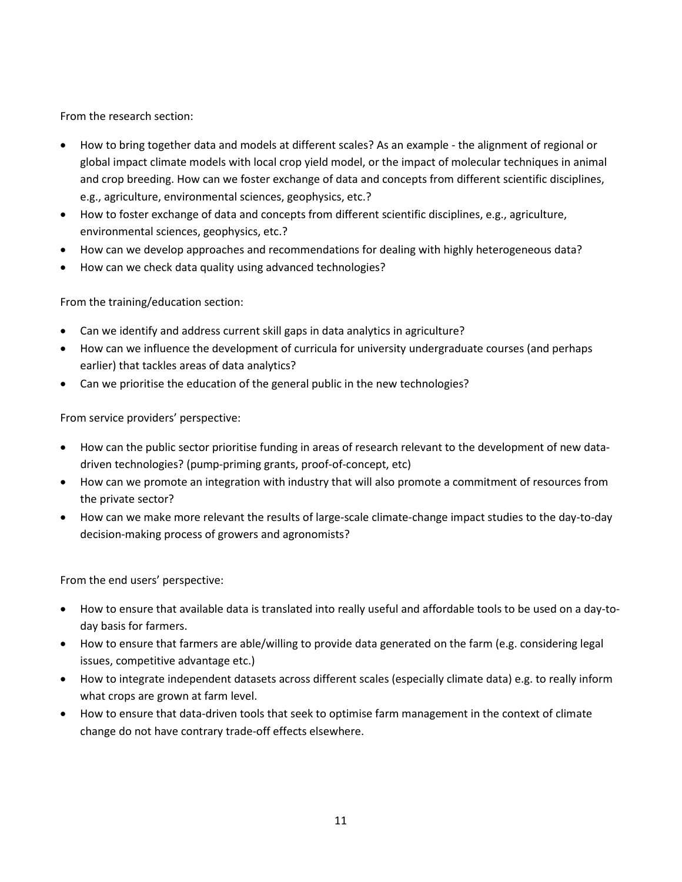From the research section:

- How to bring together data and models at different scales? As an example the alignment of regional or global impact climate models with local crop yield model, or the impact of molecular techniques in animal and crop breeding. How can we foster exchange of data and concepts from different scientific disciplines, e.g., agriculture, environmental sciences, geophysics, etc.?
- How to foster exchange of data and concepts from different scientific disciplines, e.g., agriculture, environmental sciences, geophysics, etc.?
- How can we develop approaches and recommendations for dealing with highly heterogeneous data?
- How can we check data quality using advanced technologies?

From the training/education section:

- Can we identify and address current skill gaps in data analytics in agriculture?
- How can we influence the development of curricula for university undergraduate courses (and perhaps earlier) that tackles areas of data analytics?
- Can we prioritise the education of the general public in the new technologies?

From service providers' perspective:

- How can the public sector prioritise funding in areas of research relevant to the development of new datadriven technologies? (pump-priming grants, proof-of-concept, etc)
- How can we promote an integration with industry that will also promote a commitment of resources from the private sector?
- How can we make more relevant the results of large-scale climate-change impact studies to the day-to-day decision-making process of growers and agronomists?

From the end users' perspective:

- How to ensure that available data is translated into really useful and affordable tools to be used on a day-today basis for farmers.
- How to ensure that farmers are able/willing to provide data generated on the farm (e.g. considering legal issues, competitive advantage etc.)
- How to integrate independent datasets across different scales (especially climate data) e.g. to really inform what crops are grown at farm level.
- How to ensure that data-driven tools that seek to optimise farm management in the context of climate change do not have contrary trade-off effects elsewhere.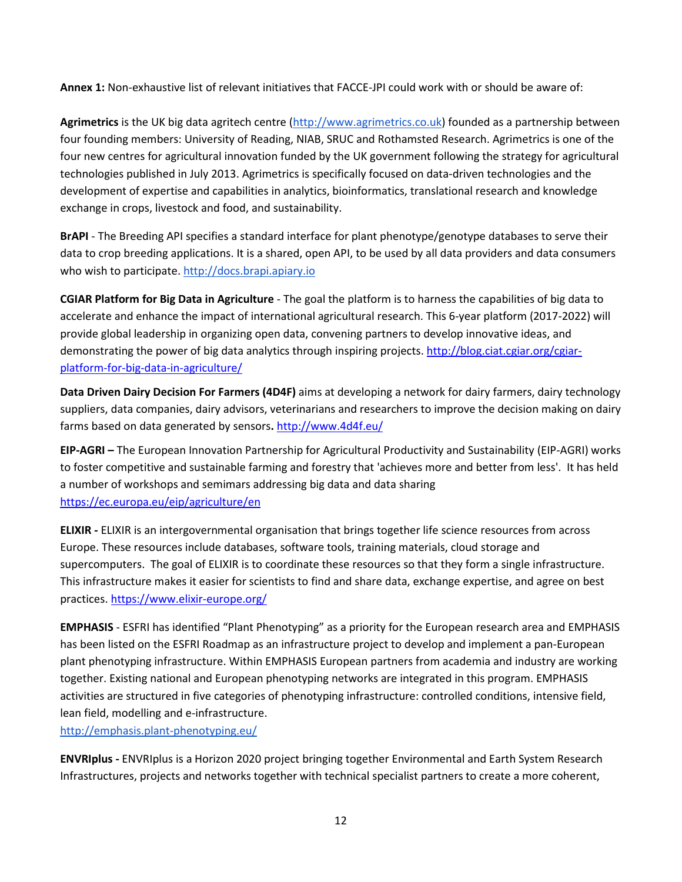**Annex 1:** Non-exhaustive list of relevant initiatives that FACCE-JPI could work with or should be aware of:

**Agrimetrics** is the UK big data agritech centre [\(http://www.agrimetrics.co.uk\)](http://www.agrimetrics.co.uk/) founded as a partnership between four founding members: University of Reading, NIAB, SRUC and Rothamsted Research. Agrimetrics is one of the four new centres for agricultural innovation funded by the UK government following the strategy for agricultural technologies published in July 2013. Agrimetrics is specifically focused on data-driven technologies and the development of expertise and capabilities in analytics, bioinformatics, translational research and knowledge exchange in crops, livestock and food, and sustainability.

**BrAPI** - The Breeding API specifies a standard interface for plant phenotype/genotype databases to serve their data to crop breeding applications. It is a shared, open API, to be used by all data providers and data consumers who wish to participate. [http://docs.brapi.apiary.io](http://docs.brapi.apiary.io/)

**CGIAR Platform for Big Data in Agriculture** - The goal the platform is to harness the capabilities of big data to accelerate and enhance the impact of international agricultural research. This 6-year platform (2017-2022) will provide global leadership in organizing open data, convening partners to develop innovative ideas, and demonstrating the power of big data analytics through inspiring projects. [http://blog.ciat.cgiar.org/cgiar](http://blog.ciat.cgiar.org/cgiar-platform-for-big-data-in-agriculture/)[platform-for-big-data-in-agriculture/](http://blog.ciat.cgiar.org/cgiar-platform-for-big-data-in-agriculture/)

**Data Driven Dairy Decision For Farmers (4D4F)** aims at developing a network for dairy farmers, dairy technology suppliers, data companies, dairy advisors, veterinarians and researchers to improve the decision making on dairy farms based on data generated by sensors**.** <http://www.4d4f.eu/>

**EIP-AGRI –** The European Innovation Partnership for Agricultural Productivity and Sustainability (EIP-AGRI) works to foster competitive and sustainable farming and forestry that 'achieves more and better from less'. It has held a number of workshops and semimars addressing big data and data sharing <https://ec.europa.eu/eip/agriculture/en>

**ELIXIR -** ELIXIR is an intergovernmental organisation that brings together life science resources from across Europe. These resources include databases, software tools, training materials, cloud storage and supercomputers. The goal of ELIXIR is to coordinate these resources so that they form a single infrastructure. This infrastructure makes it easier for scientists to find and share data, exchange expertise, and agree on best practices. <https://www.elixir-europe.org/>

**EMPHASIS** - ESFRI has identified "Plant Phenotyping" as a priority for the European research area and EMPHASIS has been listed on the ESFRI Roadmap as an infrastructure project to develop and implement a pan-European plant phenotyping infrastructure. Within EMPHASIS European partners from academia and industry are working together. Existing national and European phenotyping networks are integrated in this program. EMPHASIS activities are structured in five categories of phenotyping infrastructure: controlled conditions, intensive field, lean field, modelling and e-infrastructure.

<http://emphasis.plant-phenotyping.eu/>

**ENVRIplus -** ENVRIplus is a Horizon 2020 project bringing together Environmental and Earth System Research Infrastructures, projects and networks together with technical specialist partners to create a more coherent,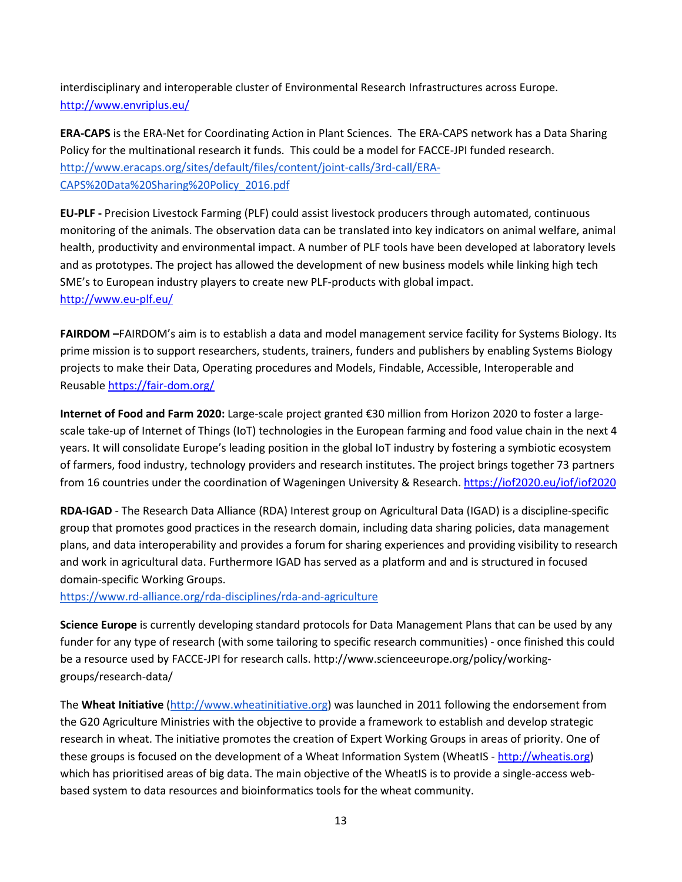interdisciplinary and interoperable cluster of Environmental Research Infrastructures across Europe. <http://www.envriplus.eu/>

**ERA-CAPS** is the ERA-Net for Coordinating Action in Plant Sciences. The ERA-CAPS network has a Data Sharing Policy for the multinational research it funds. This could be a model for FACCE-JPI funded research. [http://www.eracaps.org/sites/default/files/content/joint-calls/3rd-call/ERA-](http://www.eracaps.org/sites/default/files/content/joint-calls/3rd-call/ERA-CAPS%20Data%20Sharing%20Policy_2016.pdf)[CAPS%20Data%20Sharing%20Policy\\_2016.pdf](http://www.eracaps.org/sites/default/files/content/joint-calls/3rd-call/ERA-CAPS%20Data%20Sharing%20Policy_2016.pdf)

**EU-PLF -** Precision Livestock Farming (PLF) could assist livestock producers through automated, continuous monitoring of the animals. The observation data can be translated into key indicators on animal welfare, animal health, productivity and environmental impact. A number of PLF tools have been developed at laboratory levels and as prototypes. The project has allowed the development of new business models while linking high tech SME's to European industry players to create new PLF-products with global impact. <http://www.eu-plf.eu/>

**FAIRDOM –**FAIRDOM's aim is to establish a data and model management service facility for Systems Biology. Its prime mission is to support researchers, students, trainers, funders and publishers by enabling Systems Biology projects to make their Data, Operating procedures and Models, Findable, Accessible, Interoperable and Reusable <https://fair-dom.org/>

**Internet of Food and Farm 2020:** Large-scale project granted €30 million from Horizon 2020 to foster a largescale take-up of Internet of Things (IoT) technologies in the European farming and food value chain in the next 4 years. It will consolidate Europe's leading position in the global IoT industry by fostering a symbiotic ecosystem of farmers, food industry, technology providers and research institutes. The project brings together 73 partners from 16 countries under the coordination of Wageningen University & Research[. https://iof2020.eu/iof/iof2020](https://iof2020.eu/iof/iof2020)

**RDA-IGAD** - The Research Data Alliance (RDA) Interest group on Agricultural Data (IGAD) is a discipline-specific group that promotes good practices in the research domain, including data sharing policies, data management plans, and data interoperability and provides a forum for sharing experiences and providing visibility to research and work in agricultural data. Furthermore IGAD has served as a platform and and is structured in focused domain-specific Working Groups.

<https://www.rd-alliance.org/rda-disciplines/rda-and-agriculture>

**Science Europe** is currently developing standard protocols for Data Management Plans that can be used by any funder for any type of research (with some tailoring to specific research communities) - once finished this could be a resource used by FACCE-JPI for research calls. http://www.scienceeurope.org/policy/workinggroups/research-data/

The **Wheat Initiative** [\(http://www.wheatinitiative.org\)](http://www.wheatinitiative.org/) was launched in 2011 following the endorsement from the G20 Agriculture Ministries with the objective to provide a framework to establish and develop strategic research in wheat. The initiative promotes the creation of Expert Working Groups in areas of priority. One of these groups is focused on the development of a Wheat Information System (WheatIS - [http://wheatis.org\)](http://wheatis.org/) which has prioritised areas of big data. The main objective of the WheatIS is to provide a single-access webbased system to data resources and bioinformatics tools for the wheat community.